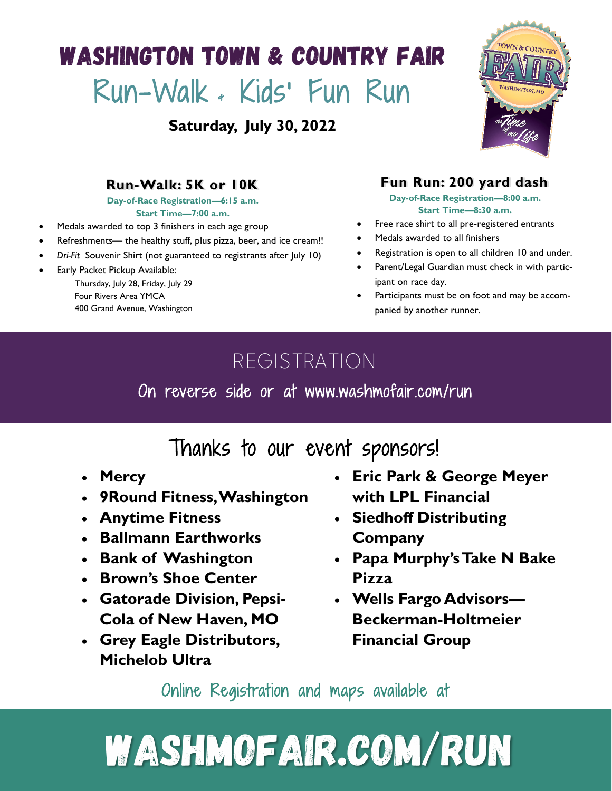## **WASHINGTON TOWN & COUNTRY FAIR** Run-Walk & Kids' Fun Run

**Saturday, July 30, 2022**



### **Run-Walk: 5K or 10K**

**Day-of-Race Registration—6:15 a.m.**

**Start Time—7:00 a.m.**

- Medals awarded to top 3 finishers in each age group
- Refreshments— the healthy stuff, plus pizza, beer, and ice cream!!
- *Dri-Fit* Souvenir Shirt (not guaranteed to registrants after July 10)
- Early Packet Pickup Available:

Thursday, July 28, Friday, July 29 Four Rivers Area YMCA 400 Grand Avenue, Washington

### **Fun Run: 200 yard dash**

**Day-of-Race Registration—8:00 a.m. Start Time—8:30 a.m.**

- Free race shirt to all pre-registered entrants
- Medals awarded to all finishers
- Registration is open to all children 10 and under.
- Parent/Legal Guardian must check in with participant on race day.
- Participants must be on foot and may be accompanied by another runner.

## REGISTRATION

On reverse side or at www.washmofair.com/run

## Thanks to our event sponsors!

- **Mercy**
- **9Round Fitness, Washington**
- **Anytime Fitness**
- **Ballmann Earthworks**
- **Bank of Washington**
- **Brown's Shoe Center**
- **Gatorade Division, Pepsi-Cola of New Haven, MO**
- **Grey Eagle Distributors, Michelob Ultra**
- **Eric Park & George Meyer with LPL Financial**
- **Siedhoff Distributing Company**
- **Papa Murphy's Take N Bake Pizza**
- **Wells Fargo Advisors— Beckerman-Holtmeier Financial Group**

Online Registration and maps available at

# **WASHMOFAIR.COM/RUN**